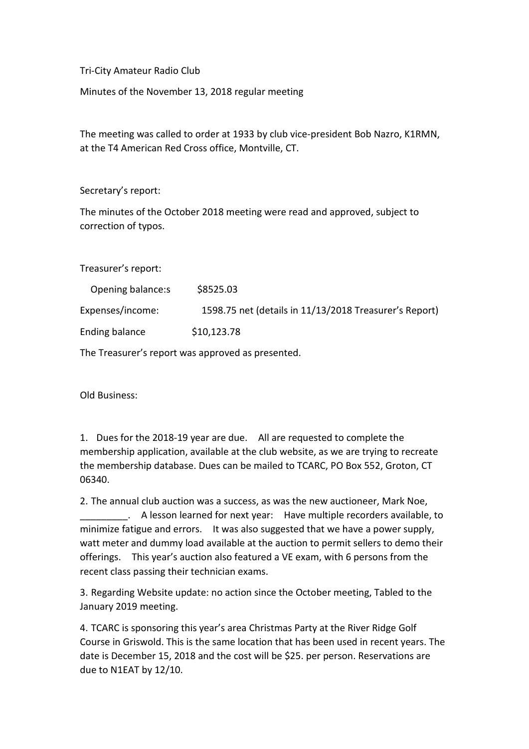Tri-City Amateur Radio Club

Minutes of the November 13, 2018 regular meeting

The meeting was called to order at 1933 by club vice-president Bob Nazro, K1RMN, at the T4 American Red Cross office, Montville, CT.

Secretary's report:

The minutes of the October 2018 meeting were read and approved, subject to correction of typos.

Treasurer's report:

| Opening balance:s | \$8525.03                                              |
|-------------------|--------------------------------------------------------|
| Expenses/income:  | 1598.75 net (details in 11/13/2018 Treasurer's Report) |
| Ending balance    | \$10,123.78                                            |

The Treasurer's report was approved as presented.

Old Business:

1. Dues for the 2018-19 year are due. All are requested to complete the membership application, available at the club website, as we are trying to recreate the membership database. Dues can be mailed to TCARC, PO Box 552, Groton, CT 06340.

2. The annual club auction was a success, as was the new auctioneer, Mark Noe, \_\_\_\_\_\_\_\_\_. A lesson learned for next year: Have multiple recorders available, to minimize fatigue and errors. It was also suggested that we have a power supply, watt meter and dummy load available at the auction to permit sellers to demo their offerings. This year's auction also featured a VE exam, with 6 persons from the recent class passing their technician exams.

3. Regarding Website update: no action since the October meeting, Tabled to the January 2019 meeting.

4. TCARC is sponsoring this year's area Christmas Party at the River Ridge Golf Course in Griswold. This is the same location that has been used in recent years. The date is December 15, 2018 and the cost will be \$25. per person. Reservations are due to N1EAT by 12/10.